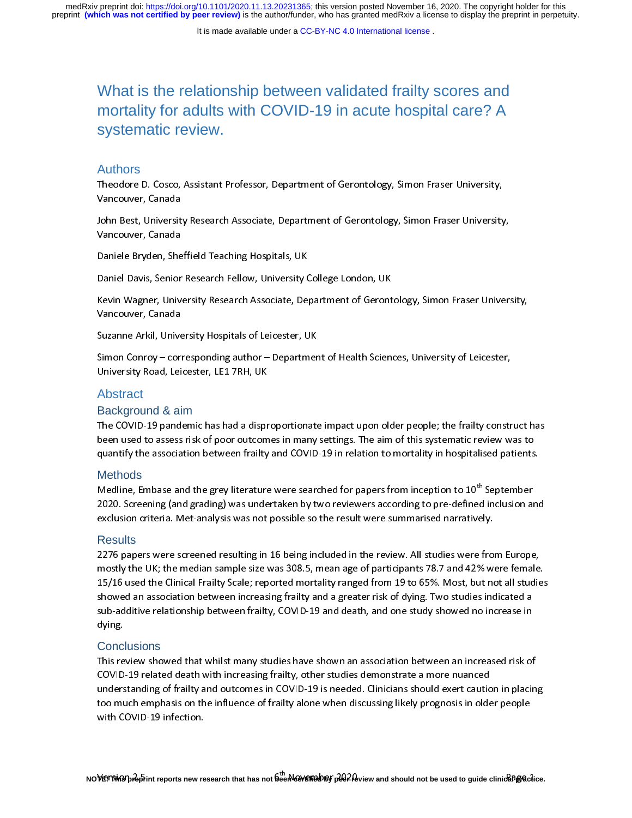# What is the relationship between validated frailty scores and mortality for adults with COVID-19 in acute hospital care? A systematic review.

#### Authors

ノーリー Theodore D. Cosco, Assistant Professor, Department of Gerontology, Simon Fraser University,<br>Vancouver, Canada<br>John Best, University Research Associate, Department of Gerontology, Simon Fraser University,<br>Vancouver, Canada<br>

John Best, Universit<br>Vancouver, Canada<br>Daniele Bryden, She<br>Daniel Davis, Senior

Kevin Wagner, University Research Associate, Department of Gerontology, Simon Fraser University,<br>Vancouver, Canada Tanssarer, Canada<br>Daniele Bryden, She<br>Daniel Davis, Senior<br>Kevin Wagner, Univ Daniel Davis, Senior Motolarin, Sarah, Senioran, Jongo London, Senioran, Senior<br>Kevin Wagner, University Research Associate, Department of Geront<br>Suzanne Arkil, University Hospitals of Leicester, UK<br>Simon Conroy – correspo

Suzanne Arkil, University Hospitals of Leicester, UK

Kancouver, Canada<br>Suzanne Arkil, University Hospitals of Leicester, UK<br>Simon Conroy – corresponding author – Department of Health Sciences, University of Leicester,<br>University Road, Leicester, LE1 7RH, UK Fancouver, Canada<br>Suzanne Arkil, Unive<br>Simon Conroy – cori<br>University Road, Lei<br>Abstract Simon Conroy – corresponding author – Departmer<br>University Road, Leicester, LE1 7RH, UK<br>Abstract<br>Background & aim

#### Abstract

#### Background & aim

Simon Conroy – corresponding author – Department of Health Sciences, Conroy of Department<br>Conversity Road, Leicester, LE1 7RH, UK<br>Background & aim<br>The COVID-19 pandemic has had a disproportionate impact upon older people; Abstract<br>Background & aim<br>The COVID-19 pandemic has had a dispr<br>been used to assess risk of poor outcom<br>quantify the association between frailty

#### **Methods**

been used to assess risk of poor outcomes in many settings. The aim of this systematic review was to<br>quantify the association between frailty and COVID-19 in relation to mortality in hospitalised patients.<br>Methods<br>2020. Sc been used to association between frailty and COVID-19 in relation to mortality in hospitalised patients<br>Methods<br>Medline, Embase and the grey literature were searched for papers from inception to 10<sup>th</sup> September<br>2020. Scre Medline, Embase and the grey literature were searched for papers from inception to 10<sup>th</sup> September<br>2020. Screening (and grading) was undertaken by two reviewers according to pre-defined inclusion and<br>exclusion criteria. M Medline, Embase and the grey literature were searched for papers from inception to 10 September<br>2020. Screening (and grading) was undertaken by two reviewers according to pre-defined inclusion an<br>exclusion criteria. Met-an

#### **Results**

exclusion criteria. Met-analysis was not possible so the result were summarised narratively.<br>Results<br>2276 papers were screened resulting in 16 being included in the review. All studies were from Europe,<br>mostly the UK; the Results<br>2276 papers were screened resulting in 16 being included in the review. All studies were from<br>2276 papers were screened resulting in 16 being included in the review. All studies were from<br>15/16 used the Clinical Fr mostly the UK; the median sample size was 308.5, mean age of participants 78.7 and 42% were female<br>15/16 used the Clinical Frailty Scale; reported mortality ranged from 19 to 65%. Most, but not all studies<br>showed an associ most used the Clinical Frailty Scale; reported mortality ranged from 19 to 65%. Most, but not all studies<br>showed an association between increasing frailty and a greater risk of dying. Two studies indicated a<br>sub-additive r 15/16 used the Clinical Frailty Scale; reported mortality ranged from 19 to 65%. Most, but not all studies

#### **Conclusions**

sub-additive relationship between frailty, COVID-19 and death, and one study showed no increase in<br>dying.<br>Conclusions<br>This review showed that whilst many studies have shown an association between an increased risk of<br>COVID sub-adding<br>Sub-additions<br>This review showed that whilst many studies have shown an association between an increased risk of<br>COVID-19 related death with increasing frailty, other studies demonstrate a more nuanced<br>understan dying.<br>This re<br>COVID<br>unders<br>too mu The Phalace that which increasing frailty, other studies demonstrate a more nuanced<br>understanding of frailty and outcomes in COVID-19 is needed. Clinicians should exert caution in placin<br>too much emphasis on the influence COVID-19 related a but minimized analysis of the UNID-19 is needed. Clinicians should exert cautic<br>too much emphasis on the influence of frailty alone when discussing likely prognosis in olde<br>with COVID-19 infection. understanding of the influence of frailty alone when discussing likely prognosis in older people<br>with COVID-19 infection.<br>Werston 2-bint constanty constant that has not <sup>6th</sup> November 2020 view and should not be used to gu with COVID-19 infection.<br><br>The influence of the influence of f<sup>th</sup> alone when discussion of the influence of the influence of the influence<br>We in a should not be used to guide clinical parts in our research that has not bee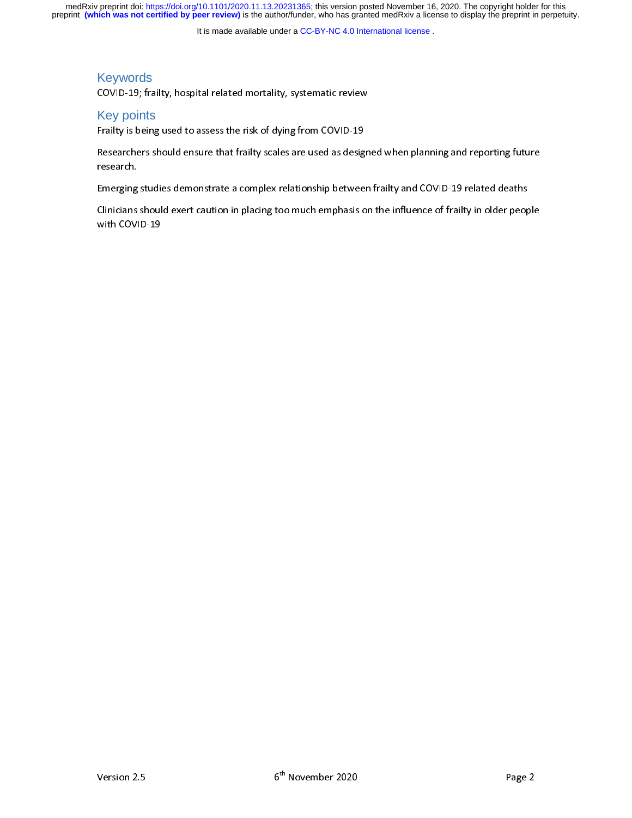medRxiv preprint doi: [https://doi.org/10.1101/2020.11.13.20231365;](https://doi.org/10.1101/2020.11.13.20231365) this version posted November 16, 2020. The copyright holder for this<br>preprint (which was not certified by peer review) is the author/funder, who has grante

It is made available under a [CC-BY-NC 4.0 International license](http://creativecommons.org/licenses/by-nc/4.0/) .

# Keywords

# Key points

COVID-19; Key points<br>
Frailty is being used to assess the risk of dying from COVID-19<br>
Researchers should ensure that frailty scales are used as design<br>
research. Frame, the ring about the risk of the risk, organism of the risk of designesearchers should ensure that frailty scales are used as designesearch.<br>Emerging studies demonstrate a complex relationship betwee<br>Clinicians should

Research.<br>Researchers should exert caution in placing too much emphasis on the influence of frailty in older people<br>with COVID-19<br>with COVID-19 research.<br>Emerging studies demonstrate a complex relationship between frailty and COVID-19 related deaths<br>Clinicians should exert caution in placing too much emphasis on the influence of frailty in older peop<br>with COVID-19 Emerging statistic a complete complementation fractionship between finity and COVID-19 relationship between frailty in older peop<br>With COVID-19 relationship between frails on the influence of frailty in older peop<br>With COV Clinicians showld exert caution in placing too much emphasis on the influence of frailty in older people<br>with COVID-19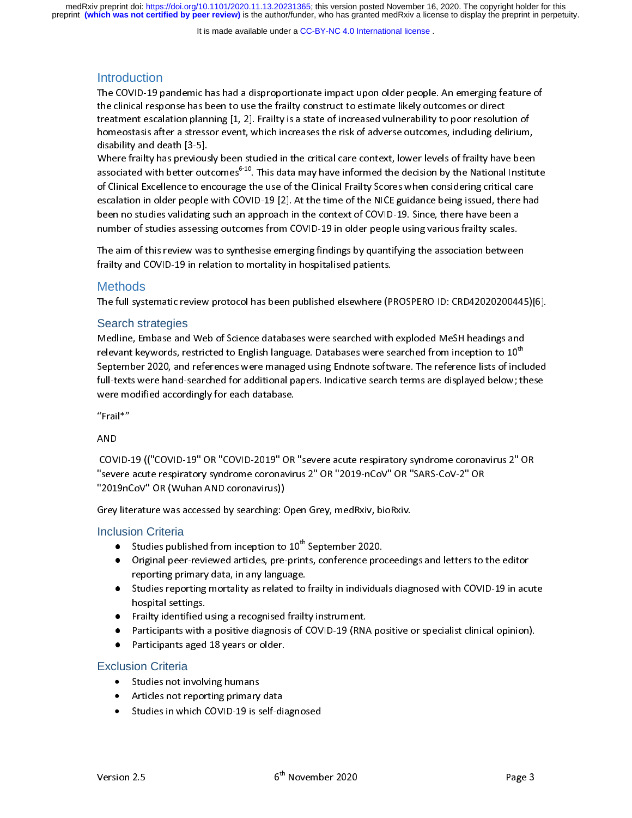preprint **(which was not certified by peer review)** is the author/funder, who has granted medRxiv a license to display the preprint in perpetuity. medRxiv preprint doi: [https://doi.org/10.1101/2020.11.13.20231365;](https://doi.org/10.1101/2020.11.13.20231365) this version posted November 16, 2020. The copyright holder for this

It is made available under a [CC-BY-NC 4.0 International license](http://creativecommons.org/licenses/by-nc/4.0/) .

# **Introduction**

the clinical response has been to use the frailty construct to estimate likely outcomes or direct<br>treatment escalation planning [1, 2]. Frailty is a state of increased vulnerability to poor resolution of<br>homeostasis after

treatment escalation planning [1, 2]. Frailty is a state of increased vulnerability to poor resolution homeostasis after a stressor event, which increases the risk of adverse outcomes, including del disability and death [3 homeostasis after a stressor event, which increases the risk of adverse outcomes, including delirium,<br>disability and death [3-5].<br>Where frailty has previously been studied in the critical care context, lower levels of frai disability and death [3-5].<br>Where frailty has previously been studied in the critical care context, lower levels of frailty have been<br>associated with better outcomes<sup>6-10</sup>. This data may have informed the decision by the N More frailty has previous<br>associated with better out<br>of Clinical Excellence to en<br>escalation in older people<br>been no studies validating<br>number of studies assessir associated with better outcomes<sup>6-10</sup>. This data may have informed the decision by the National Institute of Clinical Excellence to encourage the use of the Clinical Frailty Scores when considering critical care escalation associated with better outcomes<br>of Clinical Excellence to encourage the use of the Clinical Frailty Scores when considering critical care<br>escalation in older people with COVID-19 [2]. At the time of the NICE guidance being escalation in older people with COVID-19 [2]. At the time of the NICE guidance being issued, there have<br>been no studies validating such an approach in the context of COVID-19. Since, there have been a<br>number of studies ass been no studies validating such an approach in the context of COVID-19. Since, there have been a<br>number of studies assessing outcomes from COVID-19 in older people using various frailty scales.<br>The aim of this review was t

The aim of this review was to synthesise emerging findings by quantifying the association between The aim of this review was to synthesise emerging findings by quantifying the association between<br>frailty and COVID-19 in relation to mortality in hospitalised patients.<br>Methods<br>The full systematic review protocol has been The fullty and COVID-19 in relation to mortality in hospitalised patients.<br>The full systematic review protocol has been published elsewhere (PROSPERO ID: CRD42020200445<br>Search strategies<br>Medline Embase and Web of Science d

# Methods

#### Search strategies

Methods<br>The full systematic review protocol has been published elsewhere (P<br>Search strategies<br>Medline, Embase and Web of Science databases were searched with<br>relevant keywords, restricted to English language. Databases wer Search strategies<br>Medline, Embase and Web of Science databases were searched with exploded MeSH headings and<br>relevant keywords, restricted to English language. Databases were searched from inception to 10<sup>th</sup><br>September 202 relevant keywords, restricted to English language. Databases were searched from inception to 10<sup>th</sup><br>September 2020, and references were managed using Endnote software. The reference lists of inclu<br>full-texts were hand-sear relevant keywords, restricted to English language. Databases were searched from inception to 10"<br>September 2020, and references were managed using Endnote software. The reference lists of incli<br>full-texts were hand-searche September 2021, and references in the random gradient, and references the references were modified accordingly for each database.<br>We are modified accordingly for each database.<br>"Frail\*"

full-texts were modified accordingly for each database.<br>"Frail\*"<br>AND<br>COVID-19 (("COVID-19" OR "COVID-2019" OR "severe acute respiratory syndrome coronavirus 2" OR were modified accordingly for each database.<br>"Frail\*"<br>COVID-19 (("COVID-19" OR "COVID-2019" OR<br>"severe acute respiratory syndrome coronavir AND<br>AND<br>COVID-<br>"2019n COV<br>"seve"<br>2019<br>Grey "severe acute respiratory syndrome coronavirus 2" OR "2019-nCoV" OR "SARS-CoV-2" OR<br>"2019nCoV" OR (Wuhan AND coronavirus))<br>Grey literature was accessed by searching: Open Grey, medRxiv, bioRxiv.<br>Inclusion Criteria<br>• Studie The acute respiratory syndrometric acute is the coronavirus (2019nCoV" OR (Wuhan AND coronavirus))<br>
Grey literature was accessed by searching: Open Grey, medRxiv, bioRxiv.<br>
Inclusion Criteria<br>
• Studies published from ince

# Inclusion Criteria

- 
- Grey literature was accessed by searching: Open Grey, medRxiv, bioRxiv.<br>
Inclusion Criteria<br>
 Studies published from inception to 10<sup>th</sup> September 2020.<br>
 Original peer-reviewed articles, pre-prints, conference proceedin Grey Martin Protocology (Statemary Searching: Open Grey, Martin Protocology<br>
Studies published from inception to 10<sup>th</sup> September 2020.<br>
• Original peer-reviewed articles, pre-prints, conference proceedin<br>
reporting primar ● Studies published from inception to 10 September 2020.<br>Original peer-reviewed articles, pre-prints, conference pro<br>reporting primary data, in any language.<br>Studies reporting mortality as related to frailty in individua<br>hos
	- The pertention articles, pre-prints, controlling proceedings and letters to the editor<br>reporting primary data, in any language.<br>Studies reporting mortality as related to frailty in individuals diagnosed with COVID-19 in ac reporting primary data, in any language.<br>Studies reporting mortality as related to<br>hospital settings.<br>Frailty identified using a recognised frailt<br>Participants with a positive diagnosis of C<br>Participants aged 18 years or o Studies reportings.<br>
	Strailty identified using a recognised frailty instrument.<br>
	Participants with a positive diagnosis of COVID-19 (RNA positive or specialist clinical opinion).<br>
	Participants aged 18 years or older.<br>
	Stud
	-
	- Framity increasing a recognised rainty increasing<br>Participants with a positive diagnosis of COVID-19 (RNA<br>Participants aged 18 years or older.<br>ion Criteria<br>Studies not involving humans<br>Articles not reporting primary data
	- Frailty identified<br>Participants with<br>Participants aged<br>ion Criteria<br>Studies not involv ●

#### Exclusion Criteria

- Studies not involving humans
- Participants aged 19 years or older.<br>Particles not involving humans<br>Articles not reporting primary data<br>Studies in which COVID-19 is self-dia • Articles not reporting primary<br>• Studies in which COVID-19 is s
- Participants aged 18 years or older.<br>
ion Criteria<br>
Studies not involving humans<br>
Articles not reporting primary data<br>
Studies in which COVID-19 is self-diagnosed • Studies in which COVID-19 is self-di<br>
sion 2.5  $6<sup>th</sup>$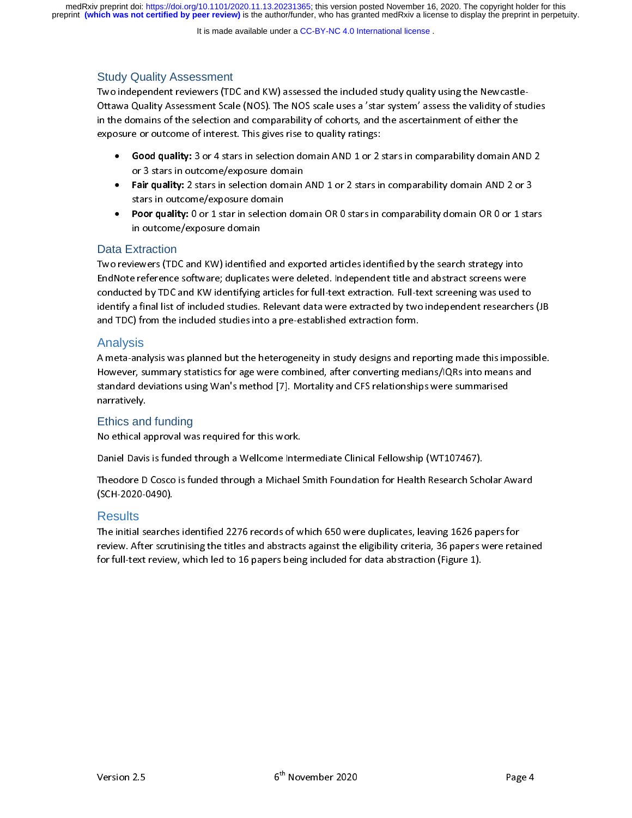preprint **(which was not certified by peer review)** is the author/funder, who has granted medRxiv a license to display the preprint in perpetuity. medRxiv preprint doi: [https://doi.org/10.1101/2020.11.13.20231365;](https://doi.org/10.1101/2020.11.13.20231365) this version posted November 16, 2020. The copyright holder for this

It is made available under a [CC-BY-NC 4.0 International license](http://creativecommons.org/licenses/by-nc/4.0/) .

# Study Quality Assessment

Two independent reviewers (TDC and KW) assessed the included study quality using the Newcastle-Ottawa Quality Assessment Scale (NOS). The NOS scale uses a 'star system' ussess the validity of studies<br>in the domains of the selection and comparability of cohorts, and the ascertainment of either the<br>exposure or outcome

- 
- or 3 stars in outcome/exposure domain<br>
Fair quality: 2 stars in selection domain AND 1 or 2 stars in comparability domain AND 2 or 3 in the domains of the domains of the selection and comparability of comparability domain Allong School and Comparability: 3 or 4 stars in selection domain AND 1 or 2 stars in comparability domain Allong Stars in outcome/ex exposure or outcome of interests in gives rise to quality.<br> **exposure of interest.** This gives rise to quality: 3 or 4 stars in selection domain<br> **exposure domain AND 1 or 2 stars in selection domain AND 1 or 2 stars in ou** • Good quality: 3 or 4 stars in selection domain AND 1 or 2 stars in comparability domain AND 2 or 3 stars in outcome/exposure domain AND 1 or 2 stars in comparability domain AND 2 or 3 stars in outcome/exposure domain AND • Fair quality: 2 stars in selection domain AND 1 or 2 stars in comparability domain AND 2 or 3<br>stars in outcome/exposure domain<br>• Poor quality: 0 or 1 star in selection domain OR 0 stars in comparability domain OR 0 or 1
	-

# Data Extraction

**Poor quality:** 0 or 1 star in selection<br>in outcome/exposure domain<br>xtraction<br>iewers (TDC and KW) identified and<br>e reference software; duplicates we in outcome/exposure domain<br>• Data Extraction<br>• Two reviewers (TDC and KW) identified and exported articles identified by the search strategy into<br>• EndNote reference software; duplicates were deleted. Independent title and xtraction<br>
iewers (TDC and KW) identified<br>
expose terefore domains domains a final list of included studies.<br>
That is a final list of included studies. The reference software; duplicates were deleted. Independent title and abstract screens were<br>conducted by TDC and KW identifying articles for full-text extraction. Full-text screening was used t<br>identify a final list of in conducted by TDC and KW identifying articles for full-text extraction. Full-text screening was used to<br>identify a final list of included studies. Relevant data were extracted by two independent researcher<br>and TDC) from the

# Analysis

conducted by the emandon text of included studies. Relevant data were extracted by two independent researchers<br>and TDC) from the included studies into a pre-established extraction form.<br>Analysis<br>A meta-analysis was planned and TDC) from the included studies into a pre-established extraction form.<br>Analysis<br>A meta-analysis was planned but the heterogeneity in study designs and reporting made this impossible.<br>However, summary statistics for age Analysis<br>A meta-analysis was planned but the heterogeneity in study designs and re<br>However, summary statistics for age were combined, after converting med<br>standard deviations using Wan's method [7]. Mortality and CFS relat However, summary statistics for age were combined, after converting medians/IQRs into means and<br>standard deviations using Wan's method [7]. Mortality and CFS relationships were summarised<br>narratively.<br>Ethics and funding<br>No standard deviations using Wan's method [7]. Mortality and CFS relationships were summarised<br>narratively.<br>Ethics and funding<br>No ethical approval was required for this work.<br>Daniel Davis is funded through a Wellcome Intermed standard deviations using Wan's method [7]. Mortality and CFS relationships were summarised<br>narratively.<br>Ethics and funding<br>No ethical approval was required for this work.<br>Daniel Davis is funded through a Wellcome Intermed

# Ethics and funding

narratively.<br>Ethics and funding<br>No ethical approval was required for this work.<br>Daniel Davis is funded through a Wellcome Inte<br>Theodore D Cosco is funded through a Michael<br>(SCH-2020-0490). Daniel Davis is funded through a Wellcome Intermediate Clinical Fellowship (WT107467).<br>Theodore D Cosco is funded through a Michael Smith Foundation for Health Research Scholar Awa<br>(SCH-2020-0490).<br>Results<br>The initial sear Theodore D Cosco is funded through a Michael Smith Foundation for Health Research Scholar Award

# **Results**

(SCH-2020-0490).<br>Results<br>The initial searches identified 2276 records of which 650 were duplicates, leaving 1626 papers for<br>review. After scrutinising the titles and abstracts against the eligibility criteria, 36 papers we '<br>Results<br>The initial searche<br>review. After scrut<br>for full-text review The interval search initial searches identified and abstracts against the eligibility criteria, 36 papers were reta<br>For full-text review, which led to 16 papers being included for data abstraction (Figure 1).<br>The initial s For full-text review, which led to 16 papers being included for data abstraction (Figure 1).<br>
for full-text review, which led to 16 papers being included for data abstraction (Figure 1). for full-text review, which led to 16 papers being included for data abstraction (Figure 1).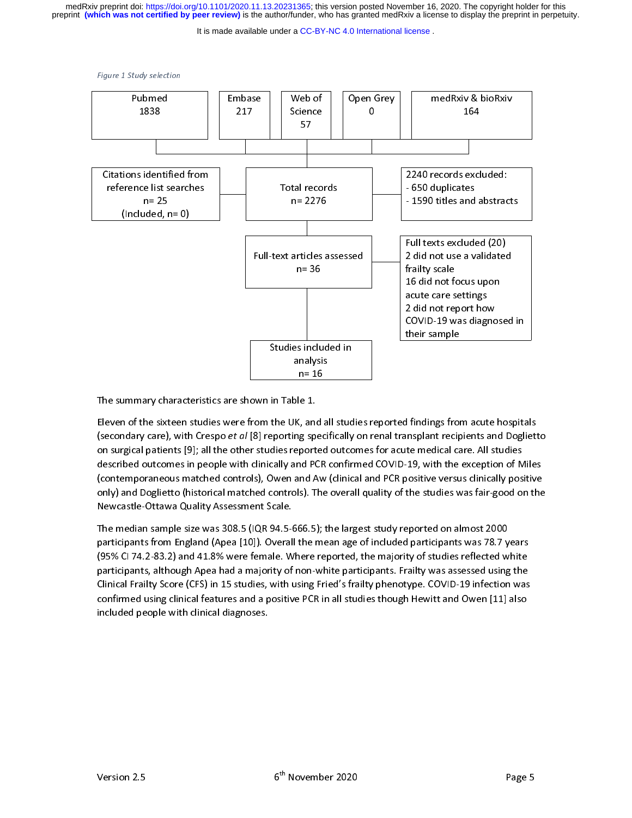preprint **(which was not certified by peer review)** is the author/funder, who has granted medRxiv a license to display the preprint in perpetuity. medRxiv preprint doi: [https://doi.org/10.1101/2020.11.13.20231365;](https://doi.org/10.1101/2020.11.13.20231365) this version posted November 16, 2020. The copyright holder for this

It is made available under a [CC-BY-NC 4.0 International license](http://creativecommons.org/licenses/by-nc/4.0/) .



,<br>!!<br>..  $n=16$ <br>
ole 1.<br>
K, and al<br>
ng specie 1.<br>c, and a<br>g spec<br>ported |<br>|<br>|<br>| |<br>|}<br>| ( ( ( Eleven of the sixteen studies were from the UK, and<br>(secondary care), with Crespo *et al* [8] reporting spon<br>on surgical patients [9]; all the other studies report-<br>described outcomes in people with clinically and P<br>(cont (secondary care), with Crespo *et al* [8] reporting specifically on renal transplant recipients and Dogliett<br>on surgical patients [9]; all the other studies reported outcomes for acute medical care. All studies<br>described o (secondary care), with Crespo et al [9], all the other studies reported outcomes for acute medical care. All studies<br>described outcomes in people with clinically and PCR confirmed COVID-19, with the exception of Miles<br>(con described outcomes in people with clinically and PCR confirmed COVID-19, with the exception of M<br>(contemporaneous matched controls), Owen and Aw (clinical and PCR positive versus clinically posi<br>only) and Doglietto (histor (contemporaneous matched controls), Owen and Aw (clinical and PCR positive versus clinically positive<br>only) and Doglietto (historical matched controls). The overall quality of the studies was fair-good on the<br>Newcastle-Ott

(contemporant our internet entirely) of the state material and Controls) and Doglietto (historical matched controls). The overall quality of the studies was fair-good on the<br>Newcastle-Ottawa Quality Assessment Scale.<br>The m Only)<br>
Newcastle-Ottawa Quality Assessment Scale.<br>
The median sample size was 308.5 (IQR 94.5-666.5); the largest study reported on almost 2000<br>
participants from England (Apea [10]). Overall the mean age of included parti The median sample size was 308.5 (IQR 94.5-666.5); the largest study reported on almost 2000 participants from England (Apea [10]). Overall the mean age of included participants was 78.7 years (95% CI 74.2-83.2) and 41.8% The means sample size was 2000, (IQR 94.5-668.7); the largest study reported on almost 2000<br>participants from England (Apea [10]). Overall the mean age of included participants was 78.7 y<br>(95% CI 74.2-83.2) and 41.8% were participants, although Apea had a majority of non-white participants. Frailty was assessed using the participants, although Apea had a majority of non-white participants. Frailty was assessed using the Clinical Frailty Sco ,<br>participants, although Apea had a majority of non-white participants. Frailty was assessed using the<br>Clinical Frailty Score (CFS) in 15 studies, with using Fried's frailty phenotype. COVID-19 infection was<br>confirmed usin participants, and a given that a majority of their time participants. Thus, the accretion and clinical Frailty Score (CFS) in 15 studies, with using Fried's frailty phenotype. COVID-19 infection was confirmed using clinica confirmed using clinical features and a positive PCR in all studies though Hewitt and Owen [11] also<br>included people with clinical diagnoses. confirmed using clinical features and a positive PCR in all studies though Hewitt and Owen [11] also<br>included people with clinical diagnoses. included people with clinical diagnoses.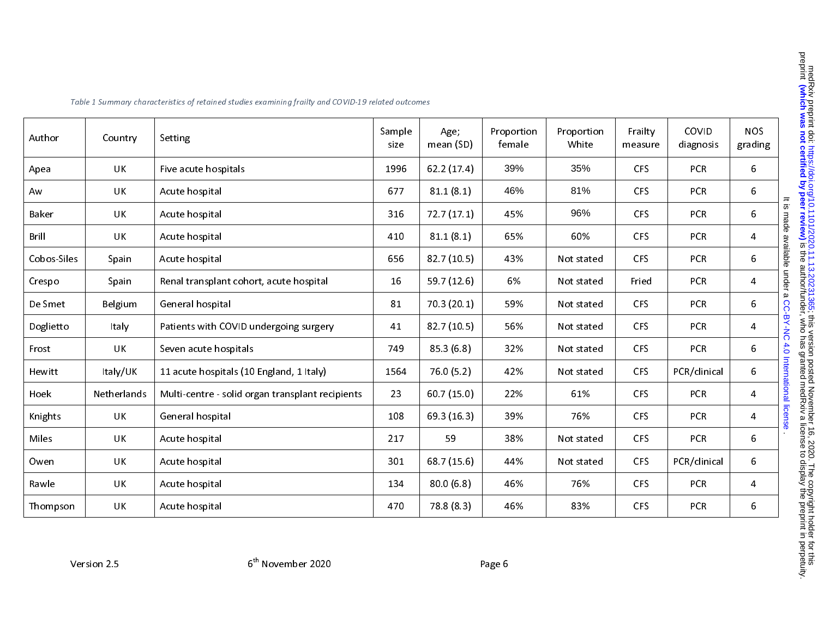| Author      | Country     | Setting                                          | Sample<br>size | Age;<br>mean (SD) | Proportion<br>female | Proportion<br>White | Frailty<br>measure | COVID<br>diagnosis | <b>NOS</b><br>grading                      |
|-------------|-------------|--------------------------------------------------|----------------|-------------------|----------------------|---------------------|--------------------|--------------------|--------------------------------------------|
| Apea        | <b>UK</b>   | Five acute hospitals                             | 1996           | 62.2(17.4)        | 39%                  | 35%                 | <b>CFS</b>         | <b>PCR</b>         | 6                                          |
| Aw          | <b>UK</b>   | Acute hospital                                   | 677            | 81.1(8.1)         | 46%                  | 81%                 | CFS                | PCR                | 6                                          |
| Baker       | <b>UK</b>   | Acute hospital                                   | 316            | 72.7(17.1)        | 45%                  | 96%                 | <b>CFS</b>         | PCR                | It is made available under a CC-BY-NC<br>6 |
| Brill       | <b>UK</b>   | Acute hospital                                   | 410            | 81.1(8.1)         | 65%                  | 60%                 | CFS                | PCR                | 4                                          |
| Cobos-Siles | Spain       | Acute hospital                                   | 656            | 82.7(10.5)        | 43%                  | Not stated          | CFS                | PCR                | 6                                          |
| Crespo      | Spain       | Renal transplant cohort, acute hospital          | 16             | 59.7 (12.6)       | 6%                   | Not stated          | Fried              | <b>PCR</b>         | 4                                          |
| De Smet     | Belgium     | General hospital                                 | 81             | 70 3 (20.1)       | 59%                  | Not stated          | <b>CFS</b>         | <b>PCR</b>         | 6                                          |
| Doglietto   | Italy       | Patients with COVID undergoing surgery           | 41             | 82.7(10.5)        | 56%                  | Not stated          | <b>CFS</b>         | PCR                | $\overline{\mathbf{4}}$                    |
| Frost       | <b>UK</b>   | Seven acute hospitals                            | 749            | 85.3(6.8)         | 32%                  | Not stated          | <b>CFS</b>         | <b>PCR</b>         | 6                                          |
| Hewitt      | Italy/UK    | 11 acute hospitals (10 England, 1 Italy)         | 1564           | 76.0 (5.2)        | 42%                  | Not stated          | <b>CFS</b>         | PCR/clinical       | 6                                          |
| Hoek        | Netherlands | Multi-centre - solid organ transplant recipients | 23             | 60.7(15.0)        | 22%                  | 61%                 | <b>CFS</b>         | PCR                | 4                                          |
| Knights     | <b>UK</b>   | General hospital                                 | 108            | 69.3 (16.3)       | 39%                  | 76%                 | <b>CFS</b>         | <b>PCR</b>         | 4                                          |
| Miles       | UK          | Acute hospital                                   | 217            | 59                | 38%                  | Not stated          | CFS                | <b>PCR</b>         | 6                                          |
| Owen        | UK          | Acute hospital                                   | 301            | 68.7(15.6)        | 44%                  | Not stated          | <b>CFS</b>         | PCR/clinical       | 6                                          |
| Rawle       | <b>UK</b>   | Acute hospital                                   | 134            | 80.0(6.8)         | 46%                  | 76%                 | CFS                | <b>PCR</b>         | 4                                          |
| Thom pson   | UK          | Acute hospital                                   | 470            | 78.8 (8.3)        | 46%                  | 83%                 | CFS                | PCR                | 6                                          |

Table 1 Summary characteristics of retained studies examining frailty and COVID-19 related outcomes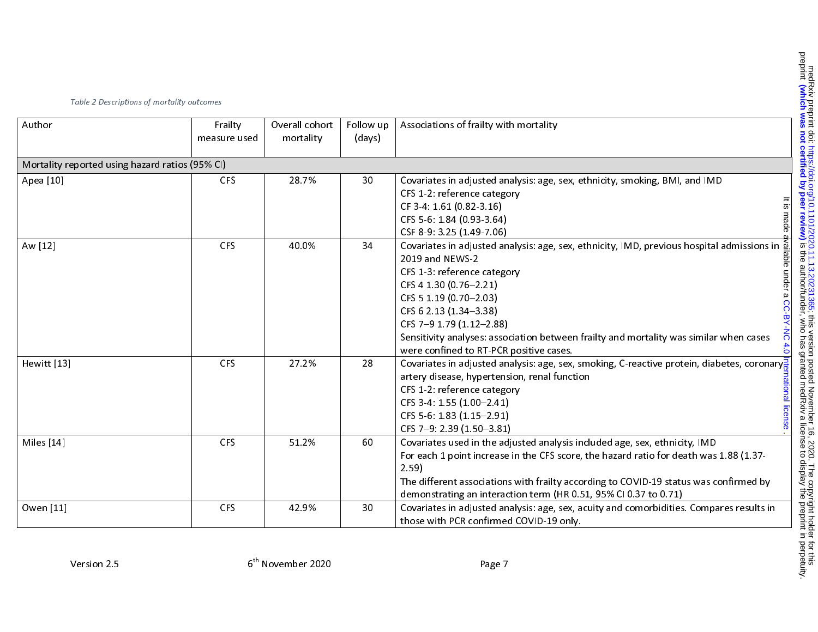| Table 2 Descriptions of mortality outcomes      |                          |                             |                     |                                                                                                                                                                                                                                                                                                                                                                                                                                                        |  |  |  |
|-------------------------------------------------|--------------------------|-----------------------------|---------------------|--------------------------------------------------------------------------------------------------------------------------------------------------------------------------------------------------------------------------------------------------------------------------------------------------------------------------------------------------------------------------------------------------------------------------------------------------------|--|--|--|
| Author                                          | Frailty<br>measure used  | Overall cohort<br>mortality | Follow up<br>(days) | Associations of frailty with mortality                                                                                                                                                                                                                                                                                                                                                                                                                 |  |  |  |
| Mortality reported using hazard ratios (95% CI) |                          |                             |                     |                                                                                                                                                                                                                                                                                                                                                                                                                                                        |  |  |  |
| Apea [10]                                       | <b>CFS</b>               | 28.7%                       | 30                  | Covariates in adjusted analysis: age, sex, ethnicity, smoking, BMI, and IMD<br>CFS 1-2: reference category<br>CF 3-4: 1.61 (0.82-3.16)<br>CFS 5-6: 1.84 (0.93-3.64)<br>CSF 8-9: 3.25 (1.49-7.06)                                                                                                                                                                                                                                                       |  |  |  |
| Aw [12]                                         | <b>CFS</b>               | 40.0%                       | 34                  | Covariates in adjusted analysis: age, sex, ethnicity, IMD, previous hospital admissions in §<br>2019 and NEWS-2<br>CFS 1-3: reference category<br>CFS 4 1.30 (0.76-2.21)<br>CFS 5 1.19 (0.70-2.03)<br>CFS 6 2.13 (1.34-3.38)<br>CFS 7-9 1.79 (1.12-2.88)<br>Sensitivity analyses: association between frailty and mortality was similar when cases<br>were confined to RT-PCR positive cases.                                                          |  |  |  |
| Hewitt [13]<br>Miles [14]                       | <b>CFS</b><br><b>CFS</b> | 27.2%<br>51.2%              | 28<br>60            | Covariates in adjusted analysis: age, sex, smoking, C-reactive protein, diabetes, coronary $\frac{2}{5}$<br>artery disease, hypertension, renal function<br>CFS 1-2: reference category<br>CFS 3-4: 1.55 (1.00-2.41)<br>CFS 5-6: 1.83 (1.15-2.91)<br>CFS 7-9: 2.39 (1.50-3.81)<br>Covariates used in the adjusted analysis included age, sex, ethnicity, IMD<br>For each 1 point increase in the CFS score, the hazard ratio for death was 1.88 (1.37- |  |  |  |
| Owen [11]                                       | <b>CFS</b>               | 42.9%                       | 30                  | 2.59<br>The different associations with frailty according to COVID-19 status was confirmed by<br>demonstrating an interaction term (HR 0.51, 95% CI 0.37 to 0.71)<br>Covariates in adjusted analysis: age, sex, acuity and comorbidities. Compares results in<br>those with PCR confirmed COVID-19 only.                                                                                                                                               |  |  |  |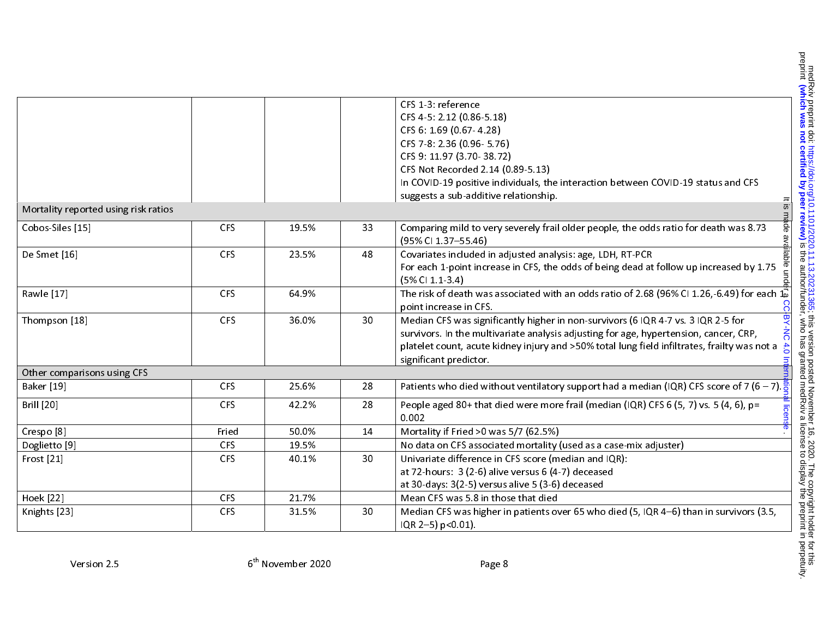|                                      |            |       |    | CFS 1-3: reference                                                                                            |
|--------------------------------------|------------|-------|----|---------------------------------------------------------------------------------------------------------------|
|                                      |            |       |    | CFS 4-5: 2.12 (0.86-5.18)                                                                                     |
|                                      |            |       |    | CFS 6: 1.69 (0.67-4.28)                                                                                       |
|                                      |            |       |    | CFS 7-8: 2.36 (0.96-5.76)                                                                                     |
|                                      |            |       |    | CFS 9: 11.97 (3.70-38.72)                                                                                     |
|                                      |            |       |    | CFS Not Recorded 2.14 (0.89-5.13)                                                                             |
|                                      |            |       |    | In COVID-19 positive individuals, the interaction between COVID-19 status and CFS                             |
|                                      |            |       |    | suggests a sub-additive relationship.                                                                         |
| Mortality reported using risk ratios |            |       |    | $\frac{1}{2}$                                                                                                 |
| Cobos-Siles [15]                     | <b>CFS</b> | 19.5% | 33 | Comparing mild to very severely frail older people, the odds ratio for death was 8.73<br>(95% CI 1.37-55.46)  |
| De Smet [16]                         | <b>CFS</b> | 23.5% | 48 | Covariates included in adjusted analysis: age, LDH, RT-PCR                                                    |
|                                      |            |       |    | For each 1-point increase in CFS, the odds of being dead at follow up increased by 1.75                       |
|                                      |            |       |    | (5% CI 1.1-3.4)                                                                                               |
| Rawle [17]                           | <b>CFS</b> | 64.9% |    | The risk of death was associated with an odds ratio of 2.68 (96% CI 1.26,-6.49) for each $1\overline{\omega}$ |
|                                      |            |       |    | ႙<br>point increase in CFS.                                                                                   |
| Thompson [18]                        | <b>CFS</b> | 36.0% | 30 | 支<br>Median CFS was significantly higher in non-survivors (6 IQR 4-7 vs. 3 IQR 2-5 for                        |
|                                      |            |       |    | survivors. In the multivariate analysis adjusting for age, hypertension, cancer, CRP,                         |
|                                      |            |       |    | platelet count, acute kidney injury and >50% total lung field infiltrates, frailty was not a $\frac{1}{n}$    |
|                                      |            |       |    | significant predictor.                                                                                        |
| Other comparisons using CFS          |            |       |    |                                                                                                               |
| Baker [19]                           | <b>CFS</b> | 25.6% | 28 | Patients who died without ventilatory support had a median (IQR) CFS score of 7 (6 – 7).                      |
| <b>Brill</b> [20]                    | <b>CFS</b> | 42.2% | 28 | People aged 80+ that died were more frail (median (IQR) CFS 6 (5, 7) vs. 5 (4, 6), p=                         |
|                                      |            |       |    | 0.002                                                                                                         |
| Crespo <sup>[8]</sup>                | Fried      | 50.0% | 14 | Mortality if Fried >0 was 5/7 (62.5%)                                                                         |
| Doglietto [9]                        | <b>CFS</b> | 19.5% |    | No data on CFS associated mortality (used as a case-mix adjuster)                                             |
| Frost [21]                           | <b>CFS</b> | 40.1% | 30 | Univariate difference in CFS score (median and IQR):                                                          |
|                                      |            |       |    | at 72-hours: 3 (2-6) alive versus 6 (4-7) deceased                                                            |
|                                      |            |       |    | at 30-days: 3(2-5) versus alive 5 (3-6) deceased                                                              |
| <b>Hoek</b> [22]                     | <b>CFS</b> | 21.7% |    | Mean CFS was 5.8 in those that died                                                                           |
| Knights [23]                         | <b>CFS</b> | 31.5% | 30 | Median CFS was higher in patients over 65 who died (5, IQR 4-6) than in survivors (3.5,                       |
|                                      |            |       |    | IQR 2-5) p<0.01).                                                                                             |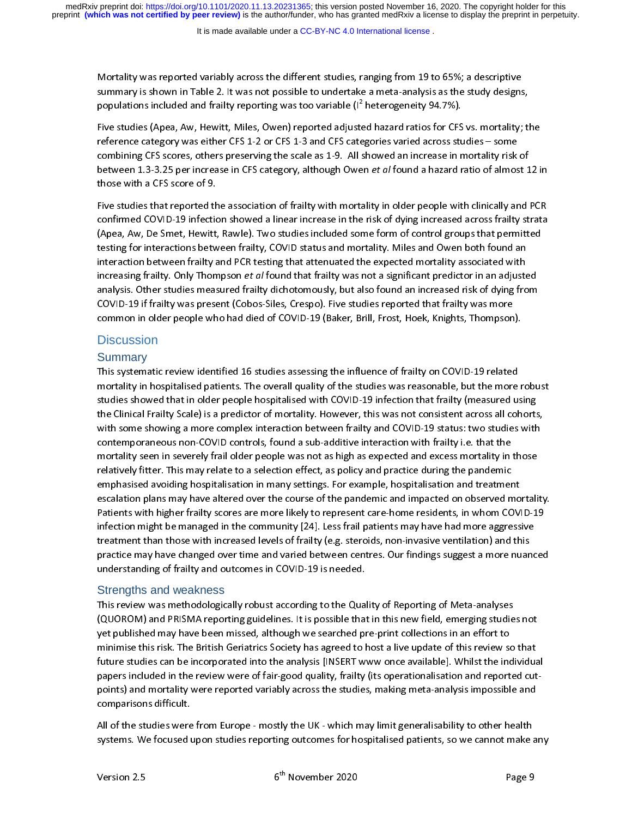summary is shown in Table 2. It was not possible to undertake a meta-analysis as the study designs<br>populations included and frailty reporting was too variable (1<sup>2</sup> heterogeneity 94.7%).<br>Five studies (Apea, Aw, Hewitt, Mil populations included and frailty reporting was too variable (1<sup>2</sup> heterogeneity 94.7%).<br>Five studies (Apea, Aw, Hewitt, Miles, Owen) reported adjusted hazard ratios for CFS vs. mortality; the<br>reference category was either populations included and frailty reporting was too variable (I-<br>Five studies (Apea, Aw, Hewitt, Miles, Owen) reported adjuste<br>reference category was either CFS 1-2 or CFS 1-3 and CFS cate<br>combining CFS scores, others prese ed hazard ratios for CFS<br>gories varied across stushowed an increase in n<br>in *et al* found a hazard r<br>ality in older people wit reference category was either CFS 1-2 or CFS 1-3 and CFS categories varied across studies – some<br>combining CFS scores, others preserving the scale as 1-9. All showed an increase in mortality risk of<br>between 1.3-3.25 per in

reference category was emitted the Lands and the Lands and the across tends in mortality risk<br>between 1.3-3.25 per increase in CFS category, although Owen *et al* found a hazard ratio of almos<br>those with a CFS score of 9.<br> between 1.3-3.25 per increase in CFS category, although Owen *et al* found a hazard ratio of almost 1<br>those with a CFS score of 9.<br>Five studies that reported the association of frailty with mortality in older people with c between that CFS score of 9.<br>Five studies that reported the association of frailty with mortality in older people with clinically and PCR<br>confirmed COVID-19 infection showed a linear increase in the risk of dying increased Five studies that reported the<br>confirmed COVID-19 infection<br>(Apea, Aw, De Smet, Hewitt,<br>testing for interactions between frailty<br>increasing frailty. Only Thom<br>analysis. Other studies meas Figure 2011 and COVID-19 infection showed a linear increase in the risk of dying increased across frailty strata<br>(Apea, Aw, De Smet, Hewitt, Rawle). Two studies included some form of control groups that permitted<br>testing f (Apea, Aw, De Smet, Hewitt, Rawle). Two studies included some form of control groups that permitted<br>testing for interactions between frailty, COVID status and mortality. Miles and Owen both found an<br>interaction between fra testing for interactions between frailty, COVID status and mortality. Miles and Owen both found an<br>interaction between frailty and PCR testing that attenuated the expected mortality associated with<br>increasing frailty. Only interaction between frailty and PCR testing that attenuated the expected mortality associated with<br>increasing frailty. Only Thompson *et al* found that frailty was not a significant predictor in an adjuste<br>analysis. Other increasing frailty. Only Thompson *et al* found that frailty was not a significant predictor in an adjusted analysis. Other studies measured frailty dichotomously, but also found an increased risk of dying from an increase increasing frailty. The measured frailty dichotomously, but also found an increased risk of dying from<br>COVID-19 if frailty was present (Cobos-Siles, Crespo). Five studies reported that frailty was more<br>common in older peop

#### **Discussion**

#### **Summary**

COVID-19 if frailty was present (Cobos-Siles, Crespo). Five studies reported that frailty was more<br>common in older people who had died of COVID-19 (Baker, Brill, Frost, Hoek, Knights, Thompson).<br>Discussion<br>Summary<br>This sys COVID-19 (Baker, Brill, Frost, Hoek, Knights, Thompson<br>Commary<br>Consent (Covid-19 if frailty on COVID-19 related<br>Mormary<br>This systematic review identified 16 studies assessing the influence of frailty on COVID-19 related<br>Mo Common interperty that had acts of Courts of County 2007, the chynney magnety in impedity.<br>
Discussion<br>
This systematic review identified 16 studies assessing the influence of frailty on COVID-19 related<br>
mortality in hosp The system is systemation of the studies was reasonable, but the more<br>studies showed that in older people hospitalised with COVID-19 infection that frailty (measured us<br>the Clinical Frailty Scale) is a predictor of mortali multies showed that in older people hospitalised with COVID-19 infection that frailty (measured using<br>the Clinical Frailty Scale) is a predictor of mortality. However, this was not consistent across all cohorts,<br>with some studies and that in our complex interaction between frailty and COVID-19 status: two studies with<br>twith some showing a more complex interaction between frailty and COVID-19 status: two studies with<br>contemporaneous non-COVI with some showing a more complex interaction between frailty and COVID-19 status: two studies with<br>contemporaneous non-COVID controls, found a sub-additive interaction with frailty i.e. that the<br>mortality seen in severely contemporaneous non-COVID controls, found a sub-additive interaction with frailty i.e. that the<br>mortality seen in severely frail older people was not as high as expected and excess mortality in those<br>relatively fitter. Thi contempt seen in severely frail older people was not as high as expected and excess mortality in<br>mortality seen in severely frail older people was not as high as expected and excess mortality in<br>relatively fitter. This may mortality setter. This may relate to a selection effect, as policy and practice during the pandemic<br>relatively fitter. This may relate to a selection effect, as policy and practice during the pandemic<br>emphasised avoiding h relatively fitter. This may be a selection in many settings. For example, hospitalisation and treatmer escalation plans may have altered over the course of the pandemic and impacted on observed m<br>Patients with higher frail escalation plans may have altered over the course of the pandemic and impacted on observed mo<br>Patients with higher frailty scores are more likely to represent care-home residents, in whom COVI<br>infection might be managed in Patients with higher frailty scores are more likely to represent care-home residents, in whom COVID-19<br>infection might be managed in the community [24]. Less frail patients may have had more aggressive<br>treatment than those infection might be managed in the community [24]. Less frail patients may have had more aggressive<br>treatment than those with increased levels of frailty (e.g. steroids, non-invasive ventilation) and this<br>practice may have infection might be many the migrant than those with increased levels of frailty (e.g. steroids, non-invasive ventilation) and this practice may have changed over time and varied between centres. Our findings suggest a more

#### Strengths and weakness

practice may have changed over time and varied between centres. Our findings suggest a more nuan<br>understanding of frailty and outcomes in COVID-19 is needed.<br>Strengths and weakness<br>This review was methodologically robust a produces may be the Quality and outcomes in COVID-19 is needed.<br>
Strengths and weakness<br>
This review was methodologically robust according to the Quality of Reporting of Meta-analyses<br>
(QUOROM) and PRISMA reporting guideli Strengths and weakness<br>This review was methodologically robust according to the Qual<br>(QUOROM) and PRISMA reporting guidelines. It is possible that<br>yet published may have been missed, although we searched pr<br>minimise this r (QUOROM) and PRISMA reporting guidelines. It is possible that in this new field, emerging studie<br>yet published may have been missed, although we searched pre-print collections in an effort to<br>minimise this risk. The Britis (QUOROM) and Protocoperation of perturnal members in the lections in an effort to<br>yet published may have been missed, although we searched pre-print collections in an effort to<br>minimise this risk. The British Geriatrics So yet published may the British Geriatrics Society has agreed to host a live update of this review so<br>minimise this risk. The British Geriatrics Society has agreed to host a live update of this review so<br>future studies can b future studies can be incorporated into the analysis [INSERT www once available]. Whilst the individual<br>papers included in the review were of fair-good quality, frailty (its operationalisation and reported cut<br>points) and papers included in the review were of fair-good quality, frailty (its operationalisation and reported cut-<br>points) and mortality were reported variably across the studies, making meta-analysis impossible and<br>comparisons di

points) and mortality such a reported variably across the studies were from Europe - mostly the UK - which may limit generalisability to other health systems. We focused upon studies reporting outcomes for hospitalised pat All of the studies were<br>systems. We focused u<br>Version 2.5 Systems. We focused upon studies reporting outcomes for hospitalised patients, so we cannot make a<br>Version 2.5 6<sup>th</sup> November 2020 Page 9 systems. We focused upon the control of the control of the control of the canonical patients, so we can not have a so we can not have a so we can not have a so we can not have a so we can not have a so we can not have a so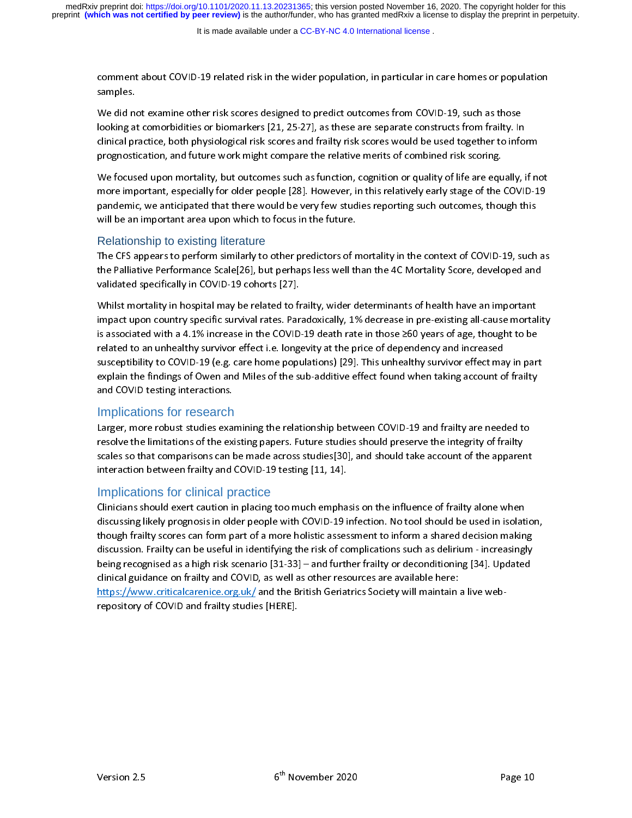samples.<br>We did not examine other risk scores designed to predict outcomes from COVID-19, such as those<br>looking at comorbidities or biomarkers [21, 25-27], as these are separate constructs from frailty. In<br>clinical practic We did no<br>looking at<br>clinical pr<br>prognosti<br>We focus<br>more imp

looking at comorbidities or biomarkers [21, 25-27], as these are separate constructs from frailty. In<br>clinical practice, both physiological risk scores and frailty risk scores would be used together to info<br>prognostication clinical practice, both physiological risk scores and frailty risk scores would be used together to info<br>prognostication, and future work might compare the relative merits of combined risk scoring.<br>We focused upon mortalit prognostication, and future work might compare the relative merits of combined risk scoring.<br>We focused upon mortality, but outcomes such as function, cognition or quality of life are equally, if no<br>more important, especia progressive during the relation, to the relation of the relation of the relation of the relation or equality of life are equal more important, especially for older people [28]. However, in this relatively early stage of th We formulate upon more important, especially for older people [28]. However, in this relatively early stage of the COVID-19 pandemic, we anticipated that there would be very few studies reporting such outcomes, though this

#### Relationship to existing literature

more important, especially for the people [28]. The very few studies reporting such outcomes, though this will be an important area upon which to focus in the future.<br>
Relationship to existing literature<br>
The CFS appears t pandemic, we anticipated that there we are very feature.<br>
Relationship to existing literature<br>
The CFS appears to perform similarly to other predictors of mortality in the context of COVID-19, such<br>
the Palliative Performa Relationship to existing literature.<br>The CFS appears to perform similarly to other predictors of r<br>the Palliative Performance Scale[26], but perhaps less well the<br>validated specifically in COVID-19 cohorts [27].<br>Whilst mor

the Palliative Performance Scale[26], but perhaps less well than the 4C Mortality Score, developed and<br>validated specifically in COVID-19 cohorts [27].<br>Whilst mortality in hospital may be related to frailty, wider determin The Palliated specifically in COVID-19 cohorts [27].<br>
Whilst mortality in hospital may be related to frailty, wider determinants of health have an important<br>
impact upon country specific survival rates. Paradoxically, 1% d Whilst mortality in hospital may be related to frequency whilst mortality in hospital may be related to frequency is associated with a 4.1% increase in the COVID-<br>related to an unhealthy survivor effect i.e. longs suscepti impact upon country specific survival rates. Paradoxically, 1% decrease in pre-existing all-cause mortal<br>is associated with a 4.1% increase in the COVID-19 death rate in those  $\geq 60$  years of age, thought to be<br>related is associated with a 4.1% increase in the COVID-19 death rate in those ≥60 years of age, thought to be related to an unhealthy survivor effect i.e. longevity at the price of dependency and increased susceptibility to COVID is a 4.1% increased with a 4.1% increased with a 4.1% increased susceptibility to COVID-19 (e.g. care home populations) [29]. This unhealthy survivor effect may in part explain the findings of Owen and Miles of the sub-add relativity to COVID-19 (e.g. care home populations) [29]. This unhealthy survivor effect ma<br>explain the findings of Owen and Miles of the sub-additive effect found when taking account o<br>and COVID testing interactions.<br>Impl

# Implications for research

susception, the Consequence of Consequence of the sub-additive effect found when taking account of frailty and COVID testing interactions.<br>Implications for research<br>Larger, more robust studies examining the relationship be and COVID testing interactions.<br>
Implications for research<br>
Larger, more robust studies examining the relationship between COVID-19 and frailty are needed to<br>
resolve the limitations of the existing papers. Future studies Implications for research<br>Larger, more robust studies exa<br>resolve the limitations of the exi<br>scales so that comparisons can linteraction between frailty and resolve the limitations of the existing papers. Future studies should preserve the integrity of frailty<br>scales so that comparisons can be made across studies[30], and should take account of the apparent<br>interaction between

# Implications for clinical practice

scales so that comparisons can be made across studies[30], and should take account of the apparer<br>interaction between frailty and COVID-19 testing [11, 14].<br>Implications for clinical practice<br>Clinicians should exert cautio interaction between frailty and COVID-19 testing [11, 14].<br>
Implications for clinical practice<br>
Clinicians should exert caution in placing too much emphasis on the influence of frailty alone when<br>
discussing likely prognos Implications for clinical practice<br>Clinicians should exert caution in placing too much empha<br>discussing likely prognosis in older people with COVID-19 i<br>though frailty scores can form part of a more holistic asses<br>discussi discussing likely prognosis in older people with COVID-19 infection. No tool should be used in isolat<br>though frailty scores can form part of a more holistic assessment to inform a shared decision makin<br>discussion. Frailty though frailty scores can form part of a more holistic assessment to inform a shared decision making<br>discussion. Frailty can be useful in identifying the risk of complications such as delirium - increasingly<br>being recognis the uses of a more interesting that is decision. Frailty can be useful in identifying the risk of complications such as delirium - increasingly<br>being recognised as a high risk scenario [31-33] – and further frailty or deco being recognised as a high risk scenario [31-33] – and further frailty or deconditioning [34]. Updated<br>clinical guidance on frailty and COVID, as well as other resources are available here:<br>https://www.criticalcarenice.org clinical guidance on frailty and COVID, as well as other resources are available here:<br>https://www.criticalcarenice.org.uk/ and the British Geriatrics Society will maintain a live web-<br>repository of COVID and frailty studi https://www.criticalcarenice.org.uk/ and the British Geriatrics Society will maintain<br>repository of COVID and frailty studies [HERE].<br> repository of COVID and frailty studies [HERE].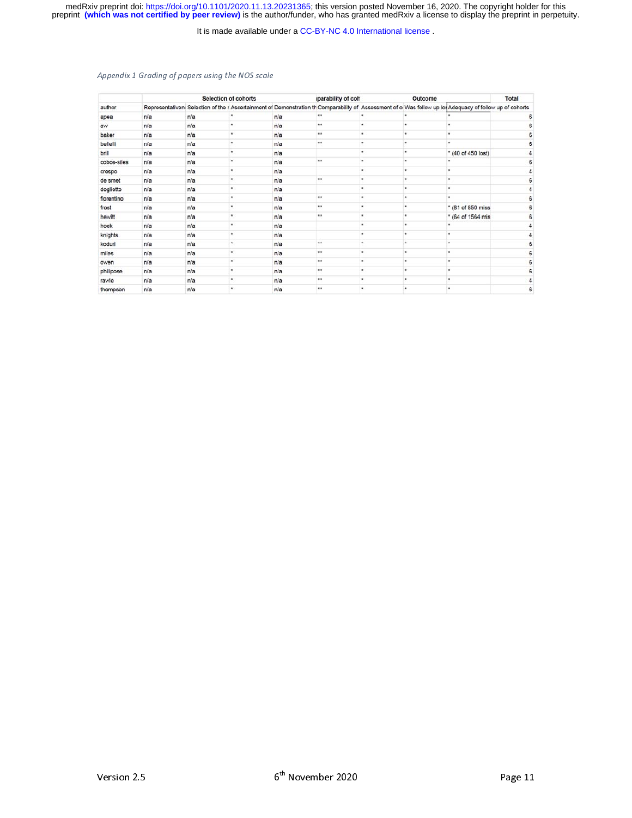medRxiv preprint doi: [https://doi.org/10.1101/2020.11.13.20231365;](https://doi.org/10.1101/2020.11.13.20231365) this version posted November 16, 2020. The copyright holder for this<br>preprint (which was not certified by peer review) is the author/funder, who has grante

It is made available under a [CC-BY-NC 4.0 International license](http://creativecommons.org/licenses/by-nc/4.0/) .

#### Appendix 1 Grading of papers using the NOS scale

|             |     |     | <b>Selection of cohorts</b> |     | iparability of coh   | Outcome |   |                                                                                                                                                          | <b>Total</b> |
|-------------|-----|-----|-----------------------------|-----|----------------------|---------|---|----------------------------------------------------------------------------------------------------------------------------------------------------------|--------------|
| author      |     |     |                             |     |                      |         |   | Representativen Selection of the r Ascertainment of Demonstration th Comparability of Assessment of o Was follow up lot Adequacy of follow up of cohorts |              |
| apea        | n/a | n/a |                             | n/a |                      |         |   |                                                                                                                                                          | 6            |
| aw          | n/a | n/a | ٠                           | n/a | $\star\star$         | ۰       | ٠ | ٠                                                                                                                                                        |              |
| baker       | n/a | n/a | ٠                           | n/a | $\cdots$             | ۰       | ٠ | ٠                                                                                                                                                        |              |
| bellelli    | n/a | n/a |                             | n/a | $\cdots$             | ×.      |   | ٠                                                                                                                                                        | 6            |
| brill       | n/a | n/a |                             | n/a |                      | ٠       | ٠ | * (40 of 450 lost)                                                                                                                                       |              |
| cobos-siles | n/a | n/a |                             | n/a | $\cdots$             | ٠       |   | ٠                                                                                                                                                        | 6            |
| crespo      | n/a | n/a |                             | n/a |                      | ٠       |   | ٠                                                                                                                                                        |              |
| de smet     | n/a | n/a |                             | n/a | **                   | ٠       | ٠ | ٠                                                                                                                                                        |              |
| doglietto   | n/a | n/a | ٠                           | n/a |                      | ٠       | ٠ | ٠                                                                                                                                                        |              |
| fiorentino  | n/a | n/a |                             | n/a | $\star\star$         | ۰       | ٠ | ٠                                                                                                                                                        |              |
| frost       | n/a | n/a |                             | n/a | $\ddot{\phantom{a}}$ | ٠       | ٠ | * (81 of 850 miss                                                                                                                                        |              |
| hewitt      | n/a | n/a |                             | n/a | **                   | ٠       |   | * (64 of 1564 mis)                                                                                                                                       | 6            |
| hoek        | n/a | n/a |                             | n/a |                      | ٠       | ٠ | ٠                                                                                                                                                        |              |
| knights     | n/a | n/a |                             | n/a |                      |         |   | ٠                                                                                                                                                        |              |
| koduri      | n/a | n/a |                             | n/a | **                   | ٠       |   |                                                                                                                                                          |              |
| miles       | n/a | n/a | ۰                           | n/a | $\ldots$             | ٠       | ٠ | ٠                                                                                                                                                        | 6            |
| owen        | n/a | n/a |                             | n/a |                      | ٠       | ٠ | ٠                                                                                                                                                        |              |
| philipose   | n/a | n/a |                             | n/a | $\cdots$             | ۰       | ٠ | ٠                                                                                                                                                        |              |
| rawle       | n/a | n/a | ٠                           | n/a |                      | ٠       | ٠ | ٠                                                                                                                                                        |              |
| thompson    | n/a | n/a |                             | n/a |                      | ٠       |   | ٠                                                                                                                                                        | 6            |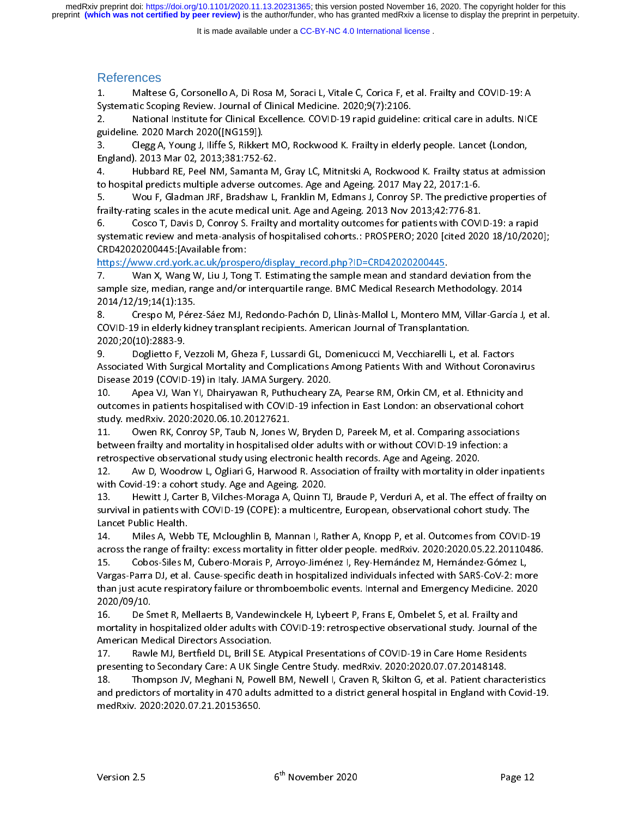It is made available under a [CC-BY-NC 4.0 International license](http://creativecommons.org/licenses/by-nc/4.0/) .

# References

Systematic Scoping Review. Journal of Clinical Medicine. 2020;9(7):2106.<br>2. Mational Institute for Clinical Excellence. COVID-19 rapid guideline: critical care in adults. NICI<br>guideline. 2020 March 2020([NG159]).<br>3

System International Institute for Clinical Excellence. COVID-19 rapid guideling<br>guideline. 2020 March 2020([NG159]).<br>3. Clegg A, Young J, Iliffe S, Rikkert MO, Rockwood K. Frailty in elder<br>England). 2013 Mar 02, 2013;381: guideline. 2020 March 2020([NG159]).<br>
2. Clegg A, Young J, Iliffe S, Rikkert MO, Rockwood K. Frailty in elderly people. Lancet (London,<br>
England). 2013 Mar 02, 2013;381:752-62.<br>
4. Hubbard RE, Peel NM, Samanta M, Gray LC,

guideline. Clegg A, Young J, Iliffe S, Rikker<br>England). 2013 Mar 02, 2013;381:752-6<br>4. Hubbard RE, Peel NM, Samanta<br>to hospital predicts multiple adverse ou<br>5. Wou F, Gladman JRF, Bradshaw<br>frailty-rating scales in the acut England). 2013 Mar 02, 2013;381:752-62.<br>4. Hubbard RE, Peel NM, Samanta M, Gray LC, Mitnitski A, Rockwood K. Frailty status at admiss<br>to hospital predicts multiple adverse outcomes. Age and Ageing. 2017 May 22, 2017:1-6.<br>5 England). Hubbard RE, Peel NM, Samanta M<br>4. Hubbard RE, Peel NM, Samanta M<br>5. Wou F, Gladman JRF, Bradshaw L,<br>frailty-rating scales in the acute medical un<br>6. Cosco T, Davis D, Conroy S. Frailty<br>systematic review and metato hospital predicts multiple adverse outcomes. Age and Ageing. 2017 May 22, 2017:1-6.<br>5. Wou F, Gladman JRF, Bradshaw L, Franklin M, Edmans J, Conroy SP. The predictive properties of<br>frailty-rating scales in the acute med to hospital prediction. The prediction of the actual predictions is the actual predictive railty-rating scales in the actual predictions of Franklin M, Edmans J, Conroy SP. The predictive frailty-rating scales in the actua

frailty-rating scales in the acute medical unit. Age and Ageing. 2013 Nov 2013;42:776-81.<br>6. Cosco T, Davis D, Conroy S. Frailty and mortality outcomes for patients with COVID-19: a rapid<br>systematic review and meta-analysi Frailty-rating scales in the acute medical unit. The acute of the acute medical systematic review and meta-analysis of hospitalised cohorts.: PROSPERO; 2020 [cited 202<br>CRD42020200445: [Available from:<br>https://www.crd.york. systematic review and meta-analysis of hospitalised cohorts.: PROSPERO; 2020 [cited 2020 18/10/2020<br>CRD42020200445: [Available from:<br>https://www.crd.york.ac.uk/prospero/display\_record.php?ID=CRD42020200445.<br>7. Wan X, Wang stematic review and meta-analysis of chorical meta-analysis of chorical meta-analysis of the sample size, median, range and/or interquartile range. BMC Medical Research Methodology. 2014<br>17. Man X, Wang W, Liu J, Tong T. E CRD42020200445:[Available from: https://www.crd.ac.uk/provides.com/intergrating the sample mean and standard<br>temple size, median, range and/or interquartile range. BMC Medical Research Me<br>2014/12/19;14(1):135.<br>8. Crespo M, Pérez-Sáez MJ, Redondo-Pachón D

sample size, median, range and/or interquartile range. BMC Medical Research Methodology. 2014<br>2014/12/19;14(1):135.<br>8. Crespo M, Pérez-Sáez MJ, Redondo-Pachón D, Llinàs-Mallol L, Montero MM, Villar-García J, e<br>COVID-19 in sample 2014/12/19;14(1):135.<br>
S. Crespo M, Pérez-Sáez MJ, Redondo-Pachón D, Llinàs-Mallol L, Montero MM, Villar-García J,<br>
COVID-19 in elderly kidney transplant recipients. American Journal of Transplantation.<br>
2020;20(10) 2020;2012012012<br>
2020;201019 in elderly kidi<br>
2020;2010):2883-9.<br>
2020;2010):2883-9.<br>
2020;2010):2883-9.<br>
2010 (COVID-11<br>
2010 (COVID-11<br>
2010 (COVID-11<br>
2010 (COVID-11<br>
2010 (COVID-11<br>
2010 (COVID-11<br>
2010 (COVID-11<br>
2010 COVID-19 in elderly kidney transplant recipients. American Journal of Transplantation.<br>2020;20(10):2883-9.<br>9. Doglietto F, Vezzoli M, Gheza F, Lussardi GL, Domenicucci M, Vecchiarelli L, et al. Factors<br>Associated With Surg 2020;20(10):2883-9.<br>2020;20(10):2883-9.<br>9. Doglietto F, Vezzoli M, Gheza F, Lussardi GL, Domenicucci M, Vecchiarelli L, et a<br>Associated With Surgical Mortality and Complications Among Patients With and Withor<br>Disease 2019 9. Doglietto F, V<br>Associated With Surg<br>Disease 2019 (COVID<br>10. Apea VJ, War<br>outcomes in patients<br>study. medRxiv. 2020<br>11. Owen RK, Co<br>between frailty and r

Associated With Surgical Mortality and Complications Among Patients With and Without Coronav<br>Disease 2019 (COVID-19) in Italy. JAMA Surgery. 2020.<br>10. Apea VJ, Wan YI, Dhairyawan R, Puthucheary ZA, Pearse RM, Orkin CM, et Disease 2019 (COVID-19) in Italy. JAMA Surgery. 2020.<br>
10. Apea VJ, Wan YI, Dhairyawan R, Puthucheary ZA, Pearse RM, Orkin CM, et al. Ethnicity and<br>
20. Apea VJ, Wan YI, Dhairyawan R, Puthucheary ZA, Pearse RM, Orkin CM, e 2012 - Apea VJ, Wan YI, Dhairyawan R, Puthucheary Z<br>2012 - Apea VJ, Wan YI, Dhairyawan R, Puthucheary Z<br>2010 - Study. MedRxiv. 2020:2020.06.10.20127621.<br>2020:2020.06.10.20127621.<br>2020. Discussive and Mondron Surgery. 2020. 10. Approximation in East London: an observational cohort<br>10. Approximation in East London: an observational cohort<br>11. Owen RK, Conroy SP, Taub N, Jones W, Bryden D, Pareek M, et al. Comparing associations<br>11. Owen RK, Co outcomes in patients and Magning D. Patients hospitalised with comparing associations<br>
11. Owen RK, Conroy SP, Taub N, Jones W, Bryden D, Pareek M, et al. Comparing associations<br>
between frailty and mortality in hospitalis 11. Owen RK, Conroy SP, Taub N, Jones V<br>between frailty and mortality in hospitalised<br>retrospective observational study using elect<br>12. Aw D, Woodrow L, Ogliari G, Harwoo<br>with Covid-19: a cohort study. Age and Agein<br>13. He

between frailty and mortality in hospitalised older adults with or without COVID-19 infection: a<br>retrospective observational study using electronic health records. Age and Ageing. 2020.<br>12. Aw D, Woodrow L, Ogliari G, Harw retrospective observational study using electronic health records. Age and Ageing. 2020.<br>12. Aw D, Woodrow L, Ogliari G, Harwood R. Association of frailty with mortality in older in<br>13. Hewitt J, Carter B, Vilches-Moraga A Aw D, Woodrow L, Ogliari G, Harwood R. Association of frailty with mortality in o<br>with Covid-19: a cohort study. Age and Ageing. 2020.<br>13. Hewitt J, Carter B, Vilches-Moraga A, Quinn TJ, Braude P, Verduri A, et al. The eff with Covid-19: a cohort study. Age and Ageing. 2020.<br>13. Hewitt J, Carter B, Vilches-Moraga A, Quinn TJ, Braude P, Verduri A, et al. The effect of frailty on<br>survival in patients with COVID-19 (COPE): a multicentre, Europe

13. Hewitt J, Carter B, Vilches-Moraga A, Quinn T.<br>survival in patients with COVID-19 (COPE): a multicent<br>Lancet Public Health.<br>14. Miles A, Webb TE, Mcloughlin B, Mannan I, Ra<br>across the range of frailty: excess mortality survival in patients with COVID-19 (COPE): a multicentre, European, observational cohort study. The<br>Lancet Public Health.<br>14. Miles A, Webb TE, Mcloughlin B, Mannan I, Rather A, Knopp P, et al. Outcomes from COVID-19<br>acros Lancet Public Health.<br>14. Miles A, Webb TE, Mcloughlin B, Mannan I, Rather A, Knopp P, et al. Outcomes from COVID-<br>15. Cobos-Siles M, Cubero-Morais P, Arroyo-Jiménez I, Rey-Hernández M, Hernández-Gómez L,<br>15. Cobos-Siles M 14. Miles A, Web<br>across the range of fra<br>15. Cobos-Siles M<br>Vargas-Parra DJ, et al.<br>than just acute respira<br>2020/09/10.<br>16. De Smet R, M<br>mortality in hospitaliz across the range of frailty: excess mortality in fitter older people. medRxiv. 2020:2020.05.22.20110486.<br>15. Cobos-Siles M, Cubero-Morais P, Arroyo-Jiménez I, Rey-Hernández M, Hernández-Gómez L,<br>Vargas-Parra DJ, et al. Cau 15. Cobos-Siles M, Cubero-Morais P, Arroyo-Jiménez I, Rey-Hernández M, Hernández-Gómez L,<br>Vargas-Parra DJ, et al. Cause-specific death in hospitalized individuals infected with SARS-CoV-2: more<br>than just acute respiratory Vargas-Parra DJ, et al. Cause-specific death in hospitalized individuals infected with SARS-CoV-2: mo<br>than just acute respiratory failure or thromboembolic events. Internal and Emergency Medicine. 20:<br>2020/09/10.<br>16. De Sm

than just acute respiratory failure or thromboembolic events. Internal and Emergency Medicine. 2020<br>2020/09/10.<br>16. De Smet R, Mellaerts B, Vandewinckele H, Lybeert P, Frans E, Ombelet S, et al. Frailty and<br>mortality in ho 2020/09/10.<br>
2020/09/10.<br>
16. De Smet R, Mellaerts B, Vandewinckele H, Lybeert P, Frans E, Ombelet S, et al. Frailty and<br>
mortality in hospitalized older adults with COVID-19: retrospective observational study. Journal of

2020<br>16. De Sr<br>mortality in h<br>American Me<br>17. Rawl<br>presenting to<br>18. Thon<br>and predictor<br>medRxiv. 202 mortality in hospitalized older adults with COVID-19: retrospective observational study. Journal of<br>American Medical Directors Association.<br>17. Rawle MJ, Bertfield DL, Brill SE. Atypical Presentations of COVID-19 in Care H American Medical Directors Association.<br>17. Rawle MJ, Bertfield DL, Brill SE. Atypical Presentations of COVID-19 in Care Home Residents<br>presenting to Secondary Care: A UK Single Centre Study. medRxiv. 2020:2020.07.07.20148 17. Rawle MJ, Bertfield DL, Brill SE. A<br>17. Rawle MJ, Bertfield DL, Brill SE. A<br>presenting to Secondary Care: A UK Singl<br>18. Thompson JV, Meghani N, Powel<br>and predictors of mortality in 470 adults<br>medRxiv. 2020:2020.07.21. presenting to Secondary Care: A UK Single Centre Study. medRxiv. 2020:2020.07.07.20148148.<br>18. Thompson JV, Meghani N, Powell BM, Newell I, Craven R, Skilton G, et al. Patient characteris<br>and predictors of mortality in 470 presenting to Secondary Care in Skilton G, et al. Patient characters of mortality in 470 adults admitted to a district general hospital in England with medRxiv. 2020:2020.07.21.20153650.<br>
Network Centre Study. 2020:2020.07 and predictors of mortality in 470 adults admitted to a district general hospital in England with Covid-19.<br>medRxiv. 2020:2020.07.21.20153650.<br>Version 2.5 6<sup>th</sup> November 2020 Page 12 and Predictors of mortality in 470 and predictors of mortality in the correct general of the November 2020<br>Version 2.5 and 2.5 and 2.5 and 2.5 and 2.5 and 2.5 and 2.5 and 2.6 and 2.7 and 2.9 and 2.5 and 2.7 and 2.7 and 2.7